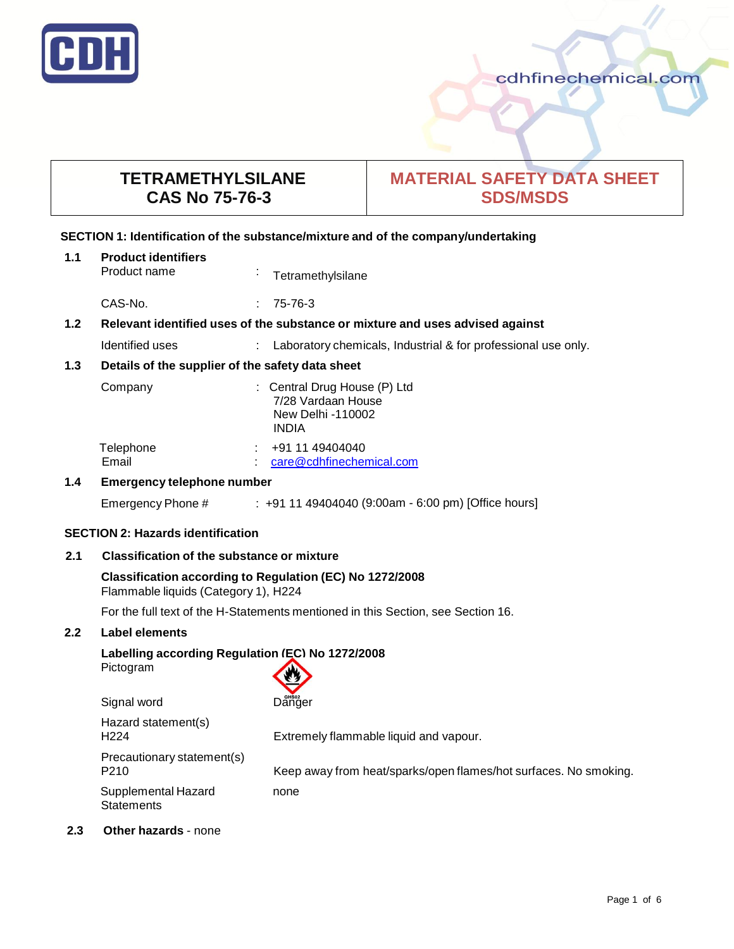

# **TETRAMETHYLSILANE CAS No 75-76-3**

# **MATERIAL SAFETY DATA SHEET SDS/MSDS**

# **SECTION 1: Identification of the substance/mixture and of the company/undertaking**

| 1.1           | <b>Product identifiers</b><br>Product name                                    | $\mathbf{r}$ | Tetramethylsilane                                                                       |  |
|---------------|-------------------------------------------------------------------------------|--------------|-----------------------------------------------------------------------------------------|--|
|               | CAS-No.                                                                       |              | 75-76-3                                                                                 |  |
| 1.2           | Relevant identified uses of the substance or mixture and uses advised against |              |                                                                                         |  |
|               | Identified uses                                                               |              | : Laboratory chemicals, Industrial & for professional use only.                         |  |
| 1.3           | Details of the supplier of the safety data sheet                              |              |                                                                                         |  |
|               | Company                                                                       |              | : Central Drug House (P) Ltd<br>7/28 Vardaan House<br>New Delhi -110002<br><b>INDIA</b> |  |
|               | Telephone<br>Email                                                            |              | +91 11 49404040<br>care@cdhfinechemical.com                                             |  |
| $1.4^{\circ}$ | Emergency telephone number                                                    |              |                                                                                         |  |
|               | Emergency Phone #                                                             |              | $\pm$ +91 11 49404040 (9:00am - 6:00 pm) [Office hours]                                 |  |

# **SECTION 2: Hazards identification**

# **2.1 Classification of the substance or mixture**

# **Classification according to Regulation (EC) No 1272/2008** Flammable liquids (Category 1), H224

For the full text of the H-Statements mentioned in this Section, see Section 16.

## **2.2 Label elements**

# **Labelling according Regulation (EC) No 1272/2008** Pictogram

| Danger                                                           |
|------------------------------------------------------------------|
| Extremely flammable liquid and vapour.                           |
| Keep away from heat/sparks/open flames/hot surfaces. No smoking. |
| none                                                             |
|                                                                  |

# **2.3 Other hazards** - none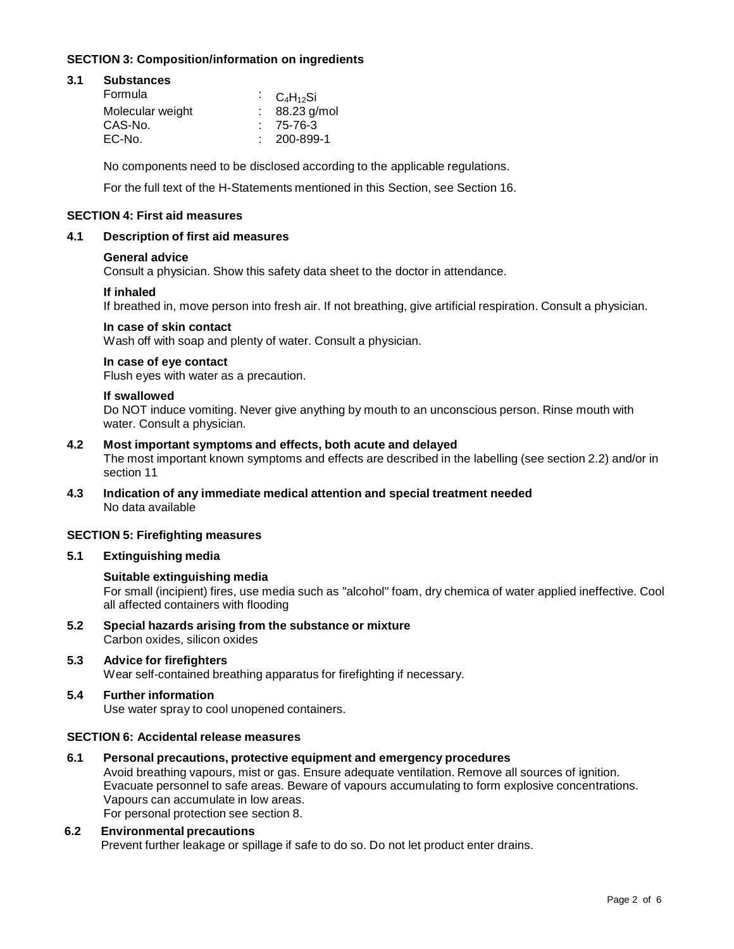# **SECTION 3: Composition/information on ingredients**

# **3.1 Substances**

| Formula          | $C_4H_{12}Si$     |
|------------------|-------------------|
| Molecular weight | $: 88.23$ g/mol   |
| CAS-No.          | $: 75-76-3$       |
| EC-No.           | $: 200 - 899 - 1$ |

No components need to be disclosed according to the applicable regulations.

For the full text of the H-Statements mentioned in this Section, see Section 16.

## **SECTION 4: First aid measures**

#### **4.1 Description of first aid measures**

#### **General advice**

Consult a physician. Show this safety data sheet to the doctor in attendance.

#### **If inhaled**

If breathed in, move person into fresh air. If not breathing, give artificial respiration. Consult a physician.

#### **In case of skin contact**

Wash off with soap and plenty of water. Consult a physician.

#### **In case of eye contact**

Flush eyes with water as a precaution.

#### **If swallowed**

Do NOT induce vomiting. Never give anything by mouth to an unconscious person. Rinse mouth with water. Consult a physician.

## **4.2 Most important symptoms and effects, both acute and delayed**

The most important known symptoms and effects are described in the labelling (see section 2.2) and/or in section 11

**4.3 Indication of any immediate medical attention and special treatment needed** No data available

## **SECTION 5: Firefighting measures**

# **5.1 Extinguishing media**

## **Suitable extinguishing media**

For small (incipient) fires, use media such as "alcohol" foam, dry chemica of water applied ineffective. Cool all affected containers with flooding

**5.2 Special hazards arising from the substance or mixture** Carbon oxides, silicon oxides

# **5.3 Advice for firefighters**

Wear self-contained breathing apparatus for firefighting if necessary.

# **5.4 Further information**

Use water spray to cool unopened containers.

# **SECTION 6: Accidental release measures**

**6.1 Personal precautions, protective equipment and emergency procedures**

Avoid breathing vapours, mist or gas. Ensure adequate ventilation. Remove all sources of ignition. Evacuate personnel to safe areas. Beware of vapours accumulating to form explosive concentrations. Vapours can accumulate in low areas.

For personal protection see section 8.

# **6.2 Environmental precautions**

Prevent further leakage or spillage if safe to do so. Do not let product enter drains.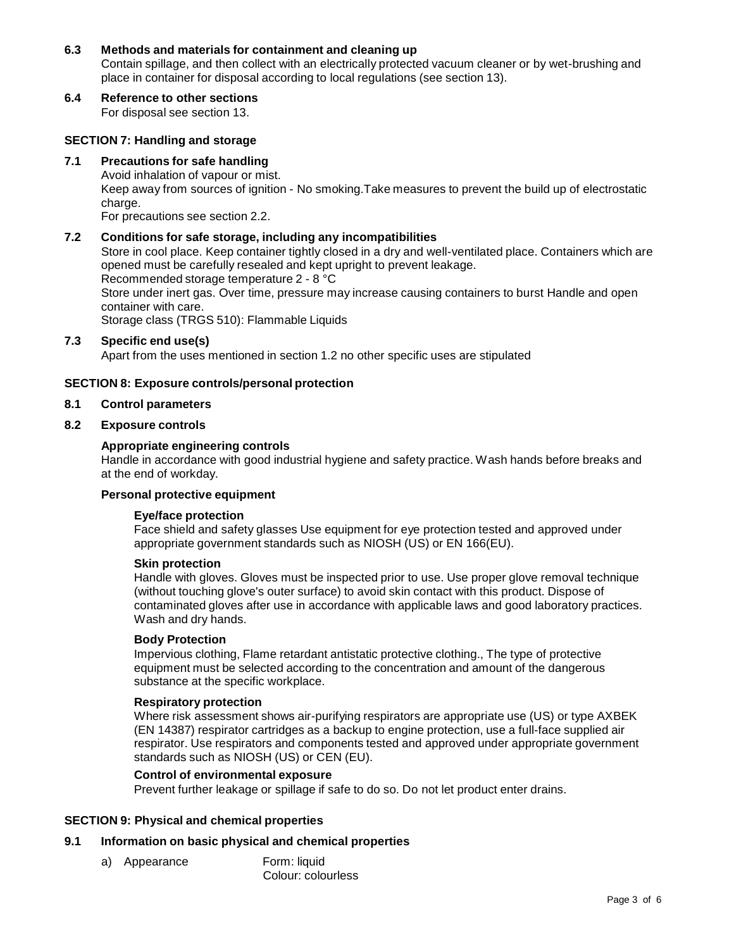# **6.3 Methods and materials for containment and cleaning up**

Contain spillage, and then collect with an electrically protected vacuum cleaner or by wet-brushing and place in container for disposal according to local regulations (see section 13).

# **6.4 Reference to other sections**

For disposal see section 13.

## **SECTION 7: Handling and storage**

# **7.1 Precautions for safe handling**

Avoid inhalation of vapour or mist.

Keep away from sources of ignition - No smoking.Take measures to prevent the build up of electrostatic charge.

For precautions see section 2.2.

### **7.2 Conditions for safe storage, including any incompatibilities**

Store in cool place. Keep container tightly closed in a dry and well-ventilated place. Containers which are opened must be carefully resealed and kept upright to prevent leakage.

Recommended storage temperature 2 - 8 °C

Store under inert gas. Over time, pressure may increase causing containers to burst Handle and open container with care.

Storage class (TRGS 510): Flammable Liquids

# **7.3 Specific end use(s)**

Apart from the uses mentioned in section 1.2 no other specific uses are stipulated

## **SECTION 8: Exposure controls/personal protection**

# **8.1 Control parameters**

#### **8.2 Exposure controls**

#### **Appropriate engineering controls**

Handle in accordance with good industrial hygiene and safety practice. Wash hands before breaks and at the end of workday.

# **Personal protective equipment**

#### **Eye/face protection**

Face shield and safety glasses Use equipment for eye protection tested and approved under appropriate government standards such as NIOSH (US) or EN 166(EU).

#### **Skin protection**

Handle with gloves. Gloves must be inspected prior to use. Use proper glove removal technique (without touching glove's outer surface) to avoid skin contact with this product. Dispose of contaminated gloves after use in accordance with applicable laws and good laboratory practices. Wash and dry hands.

#### **Body Protection**

Impervious clothing, Flame retardant antistatic protective clothing., The type of protective equipment must be selected according to the concentration and amount of the dangerous substance at the specific workplace.

#### **Respiratory protection**

Where risk assessment shows air-purifying respirators are appropriate use (US) or type AXBEK (EN 14387) respirator cartridges as a backup to engine protection, use a full-face supplied air respirator. Use respirators and components tested and approved under appropriate government standards such as NIOSH (US) or CEN (EU).

## **Control of environmental exposure**

Prevent further leakage or spillage if safe to do so. Do not let product enter drains.

# **SECTION 9: Physical and chemical properties**

# **9.1 Information on basic physical and chemical properties**

- a) Appearance Form: liquid
	- Colour: colourless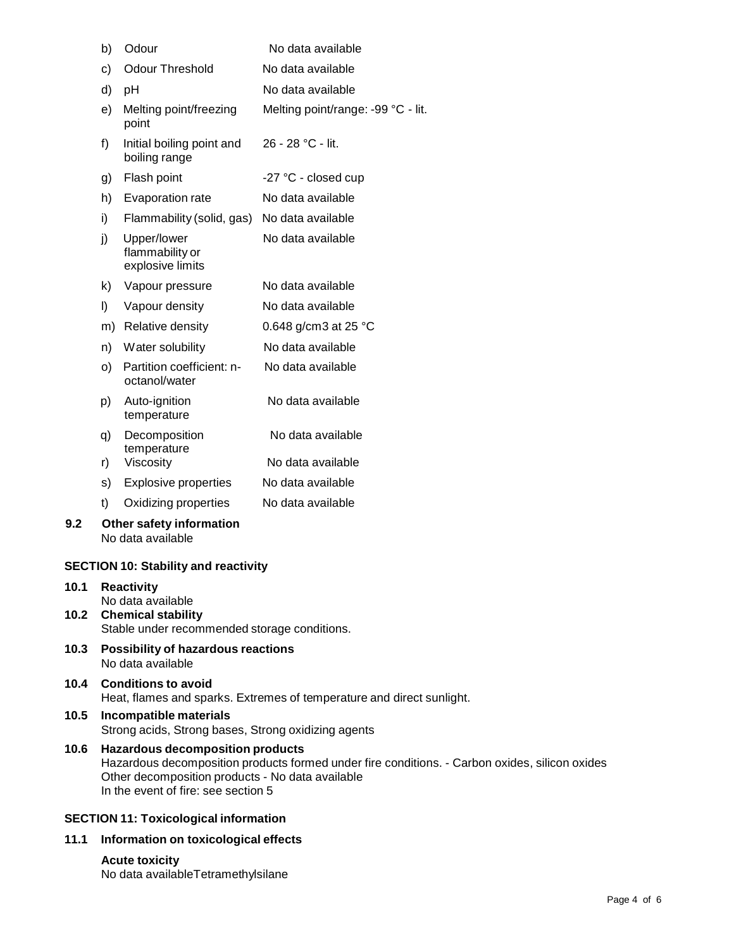| b) | Odour                                              | No data available                  |
|----|----------------------------------------------------|------------------------------------|
| c) | <b>Odour Threshold</b>                             | No data available                  |
| d) | рH                                                 | No data available                  |
| e) | Melting point/freezing<br>point                    | Melting point/range: -99 °C - lit. |
| f) | Initial boiling point and<br>boiling range         | 26 - 28 °C - lit.                  |
| g) | Flash point                                        | -27 °C - closed cup                |
| h) | <b>Evaporation rate</b>                            | No data available                  |
| i) | Flammability (solid, gas)                          | No data available                  |
| j) | Upper/lower<br>flammability or<br>explosive limits | No data available                  |
| k) | Vapour pressure                                    | No data available                  |
| I) | Vapour density                                     | No data available                  |
| m) | Relative density                                   | 0.648 g/cm3 at 25 $^{\circ}$ C     |
| n) | Water solubility                                   | No data available                  |
| O) | Partition coefficient: n-<br>octanol/water         | No data available                  |
| p) | Auto-ignition<br>temperature                       | No data available                  |
| q) | Decomposition<br>temperature                       | No data available                  |
| r) | Viscosity                                          | No data available                  |
| s) | <b>Explosive properties</b>                        | No data available                  |
| t) | Oxidizing properties                               | No data available                  |
|    |                                                    |                                    |

# **9.2 Other safety information** No data available

# **SECTION 10: Stability and reactivity**

| 10.1 | <b>Reactivity</b><br>No data available                                  |
|------|-------------------------------------------------------------------------|
|      | 10.2 Chemical stability<br>Stable under recommended storage conditions. |
| 10.3 | <b>Possibility of hazardous reactions</b><br>No data available          |

# **10.4 Conditions to avoid** Heat, flames and sparks. Extremes of temperature and direct sunlight.

# **10.5 Incompatible materials** Strong acids, Strong bases, Strong oxidizing agents

# **10.6 Hazardous decomposition products** Hazardous decomposition products formed under fire conditions. - Carbon oxides, silicon oxides Other decomposition products - No data available In the event of fire: see section 5

# **SECTION 11: Toxicological information**

# **11.1 Information on toxicological effects**

# **Acute toxicity**

No data availableTetramethylsilane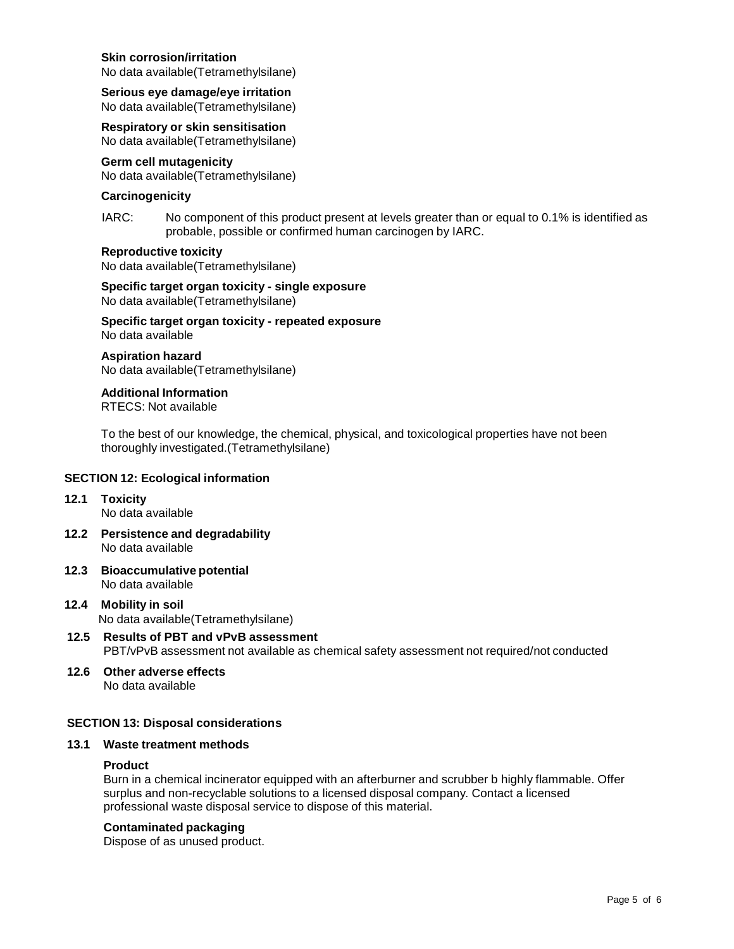#### **Skin corrosion/irritation**

No data available(Tetramethylsilane)

**Serious eye damage/eye irritation** No data available(Tetramethylsilane)

**Respiratory or skin sensitisation** No data available(Tetramethylsilane)

## **Germ cell mutagenicity**

No data available(Tetramethylsilane)

### **Carcinogenicity**

IARC: No component of this product present at levels greater than or equal to 0.1% is identified as probable, possible or confirmed human carcinogen by IARC.

# **Reproductive toxicity**

No data available(Tetramethylsilane)

**Specific target organ toxicity - single exposure** No data available(Tetramethylsilane)

**Specific target organ toxicity - repeated exposure** No data available

#### **Aspiration hazard** No data available(Tetramethylsilane)

**Additional Information** RTECS: Not available

To the best of our knowledge, the chemical, physical, and toxicological properties have not been thoroughly investigated.(Tetramethylsilane)

# **SECTION 12: Ecological information**

#### **12.1 Toxicity** No data available

- **12.2 Persistence and degradability** No data available
- **12.3 Bioaccumulative potential** No data available
- **12.4 Mobility in soil** No data available(Tetramethylsilane)
- **12.5 Results of PBT and vPvB assessment** PBT/vPvB assessment not available as chemical safety assessment not required/not conducted
- **12.6 Other adverse effects** No data available

# **SECTION 13: Disposal considerations**

#### **13.1 Waste treatment methods**

#### **Product**

Burn in a chemical incinerator equipped with an afterburner and scrubber b highly flammable. Offer surplus and non-recyclable solutions to a licensed disposal company. Contact a licensed professional waste disposal service to dispose of this material.

## **Contaminated packaging**

Dispose of as unused product.